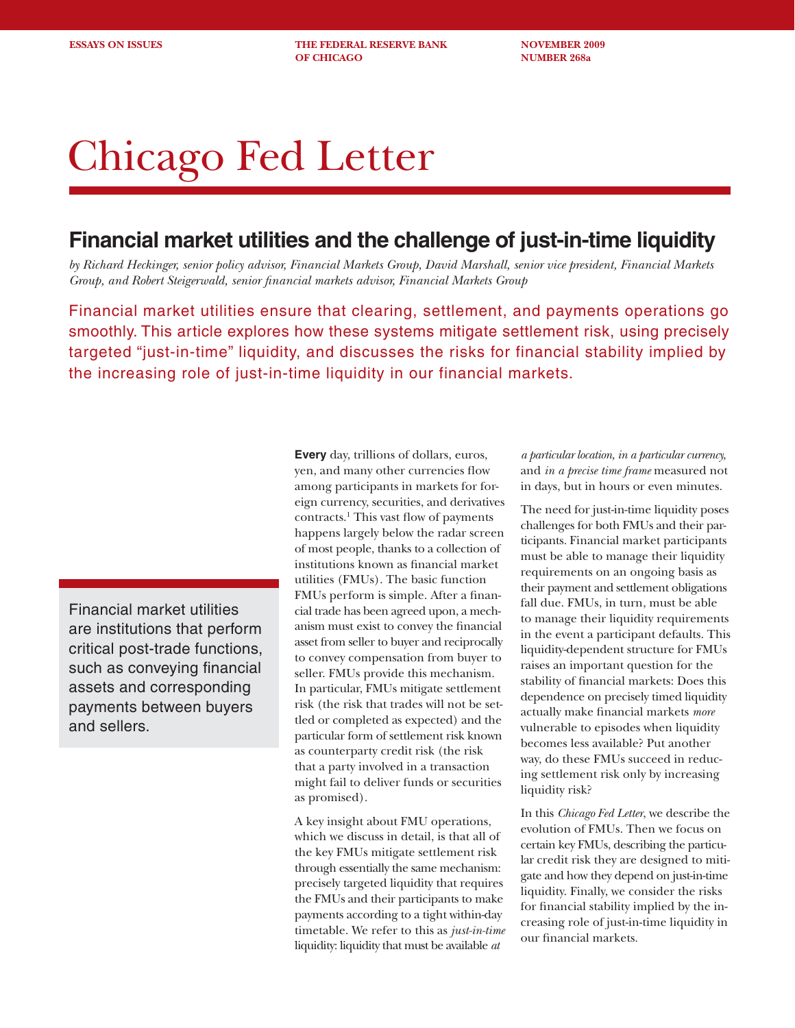**ESSAYS ON ISSUES THE FEDERAL RESERVE BANK NOVEMBER 2009 OF CHICAGO NUMBER 268a** 

# Chicago Fed Letter

# **Financial market utilities and the challenge of just-in-time liquidity**

*by Richard Heckinger, senior policy advisor, Financial Markets Group, David Marshall, senior vice president, Financial Markets Group, and Robert Steigerwald, senior fi nancial markets advisor, Financial Markets Group*

Financial market utilities ensure that clearing, settlement, and payments operations go smoothly. This article explores how these systems mitigate settlement risk, using precisely targeted "just-in-time" liquidity, and discusses the risks for financial stability implied by the increasing role of just-in-time liquidity in our financial markets.

Financial market utilities are institutions that perform critical post-trade functions, such as conveying financial assets and corresponding payments between buyers and sellers.

**Every** day, trillions of dollars, euros, yen, and many other currencies flow among participants in markets for foreign currency, securities, and derivatives contracts.<sup>1</sup> This vast flow of payments happens largely below the radar screen of most people, thanks to a collection of institutions known as financial market utilities (FMUs). The basic function FMUs perform is simple. After a financial trade has been agreed upon, a mechanism must exist to convey the financial asset from seller to buyer and reciprocally to convey compensation from buyer to seller. FMUs provide this mechanism. In particular, FMUs mitigate settlement risk (the risk that trades will not be settled or completed as expected) and the particular form of settlement risk known as counterparty credit risk (the risk that a party involved in a transaction might fail to deliver funds or securities as promised).

A key insight about FMU operations, which we discuss in detail, is that all of the key FMUs mitigate settlement risk through essentially the same mechanism: precisely targeted liquidity that requires the FMUs and their participants to make payments according to a tight within-day timetable. We refer to this as *just-in-time* liquidity: liquidity that must be available *at* 

*a particular location, in a particular currency,* and *in a precise time frame* measured not in days, but in hours or even minutes.

The need for just-in-time liquidity poses challenges for both FMUs and their participants. Financial market participants must be able to manage their liquidity requirements on an ongoing basis as their payment and settlement obligations fall due. FMUs, in turn, must be able to manage their liquidity requirements in the event a participant defaults. This liquidity-dependent structure for FMUs raises an important question for the stability of financial markets: Does this dependence on precisely timed liquidity actually make financial markets *more* vulnerable to episodes when liquidity becomes less available? Put another way, do these FMUs succeed in reducing settlement risk only by increasing liquidity risk?

In this *Chicago Fed Letter*, we describe the evolution of FMUs. Then we focus on certain key FMUs, describing the particular credit risk they are designed to mitigate and how they depend on just-in-time liquidity. Finally, we consider the risks for financial stability implied by the increasing role of just-in-time liquidity in our financial markets.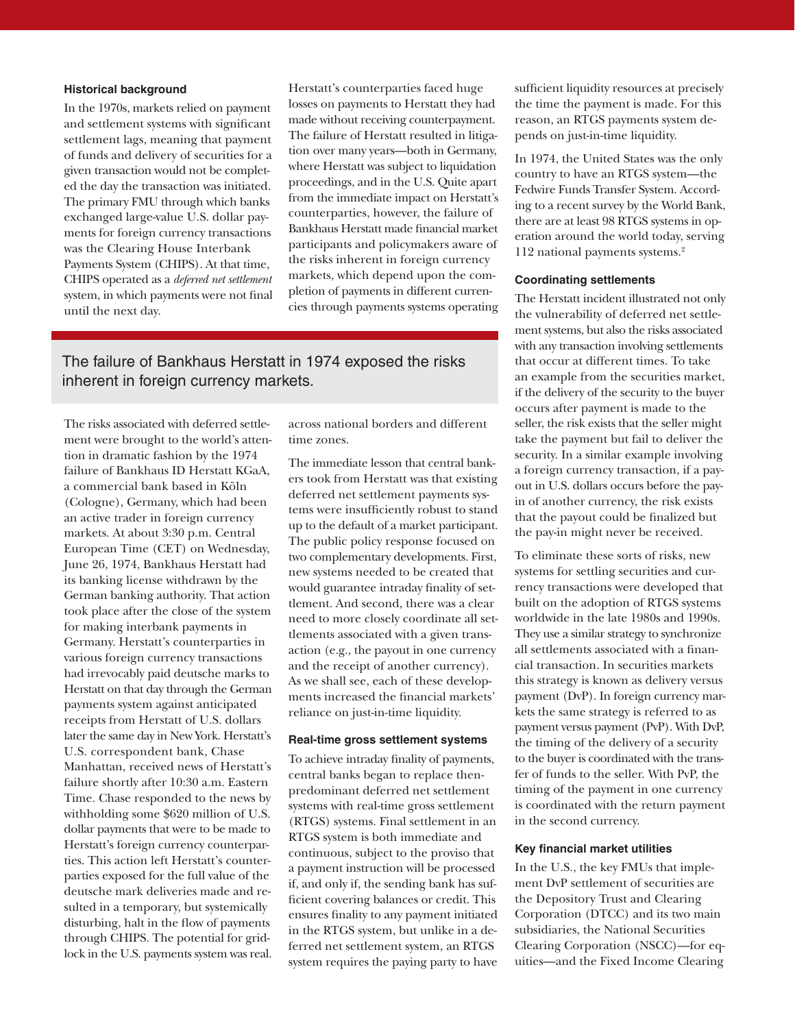# **Historical background**

In the 1970s, markets relied on payment and settlement systems with significant settlement lags, meaning that payment of funds and delivery of securities for a given transaction would not be completed the day the transaction was initiated. The primary FMU through which banks exchanged large-value U.S. dollar payments for foreign currency transactions was the Clearing House Interbank Payments System (CHIPS). At that time, CHIPS operated as a *deferred net settlement*  system, in which payments were not final until the next day.

Herstatt's counterparties faced huge losses on payments to Herstatt they had made without receiving counterpayment. The failure of Herstatt resulted in litigation over many years—both in Germany, where Herstatt was subject to liquidation proceedings, and in the U.S. Quite apart from the immediate impact on Herstatt's counterparties, however, the failure of Bankhaus Herstatt made financial market participants and policymakers aware of the risks inherent in foreign currency markets, which depend upon the completion of payments in different currencies through payments systems operating

The failure of Bankhaus Herstatt in 1974 exposed the risks inherent in foreign currency markets.

The risks associated with deferred settlement were brought to the world's attention in dramatic fashion by the 1974 failure of Bankhaus ID Herstatt KGaA, a commercial bank based in Köln (Cologne), Germany, which had been an active trader in foreign currency markets. At about 3:30 p.m. Central European Time (CET) on Wednesday, June 26, 1974, Bankhaus Herstatt had its banking license withdrawn by the German banking authority. That action took place after the close of the system for making interbank payments in Germany. Herstatt's counterparties in various foreign currency transactions had irrevocably paid deutsche marks to Herstatt on that day through the German payments system against anticipated receipts from Herstatt of U.S. dollars later the same day in New York. Herstatt's U.S. correspondent bank, Chase Manhattan, received news of Herstatt's failure shortly after 10:30 a.m. Eastern Time. Chase responded to the news by withholding some \$620 million of U.S. dollar payments that were to be made to Herstatt's foreign currency counterparties. This action left Herstatt's counterparties exposed for the full value of the deutsche mark deliveries made and resulted in a temporary, but systemically disturbing, halt in the flow of payments through CHIPS. The potential for gridlock in the U.S. payments system was real. across national borders and different time zones.

The immediate lesson that central bankers took from Herstatt was that existing deferred net settlement payments systems were insufficiently robust to stand up to the default of a market participant. The public policy response focused on two complementary developments. First, new systems needed to be created that would guarantee intraday finality of settlement. And second, there was a clear need to more closely coordinate all settlements associated with a given transaction (e.g., the payout in one currency and the receipt of another currency). As we shall see, each of these developments increased the financial markets' reliance on just-in-time liquidity.

#### **Real-time gross settlement systems**

To achieve intraday finality of payments, central banks began to replace thenpredominant deferred net settlement systems with real-time gross settlement (RTGS) systems. Final settlement in an RTGS system is both immediate and continuous, subject to the proviso that a payment instruction will be processed if, and only if, the sending bank has sufficient covering balances or credit. This ensures finality to any payment initiated in the RTGS system, but unlike in a deferred net settlement system, an RTGS system requires the paying party to have sufficient liquidity resources at precisely the time the payment is made. For this reason, an RTGS payments system depends on just-in-time liquidity.

In 1974, the United States was the only country to have an RTGS system—the Fedwire Funds Transfer System. According to a recent survey by the World Bank, there are at least 98 RTGS systems in operation around the world today, serving 112 national payments systems.2

#### **Coordinating settlements**

The Herstatt incident illustrated not only the vulnerability of deferred net settlement systems, but also the risks associated with any transaction involving settlements that occur at different times. To take an example from the securities market, if the delivery of the security to the buyer occurs after payment is made to the seller, the risk exists that the seller might take the payment but fail to deliver the security. In a similar example involving a foreign currency transaction, if a payout in U.S. dollars occurs before the payin of another currency, the risk exists that the payout could be finalized but the pay-in might never be received.

To eliminate these sorts of risks, new systems for settling securities and currency transactions were developed that built on the adoption of RTGS systems worldwide in the late 1980s and 1990s. They use a similar strategy to synchronize all settlements associated with a financial transaction. In securities markets this strategy is known as delivery versus payment (DvP). In foreign currency markets the same strategy is referred to as payment versus payment (PvP). With DvP, the timing of the delivery of a security to the buyer is coordinated with the transfer of funds to the seller. With PvP, the timing of the payment in one currency is coordinated with the return payment in the second currency.

### **Key financial market utilities**

In the U.S., the key FMUs that implement DvP settlement of securities are the Depository Trust and Clearing Corporation (DTCC) and its two main subsidiaries, the National Securities Clearing Corporation (NSCC)—for equities—and the Fixed Income Clearing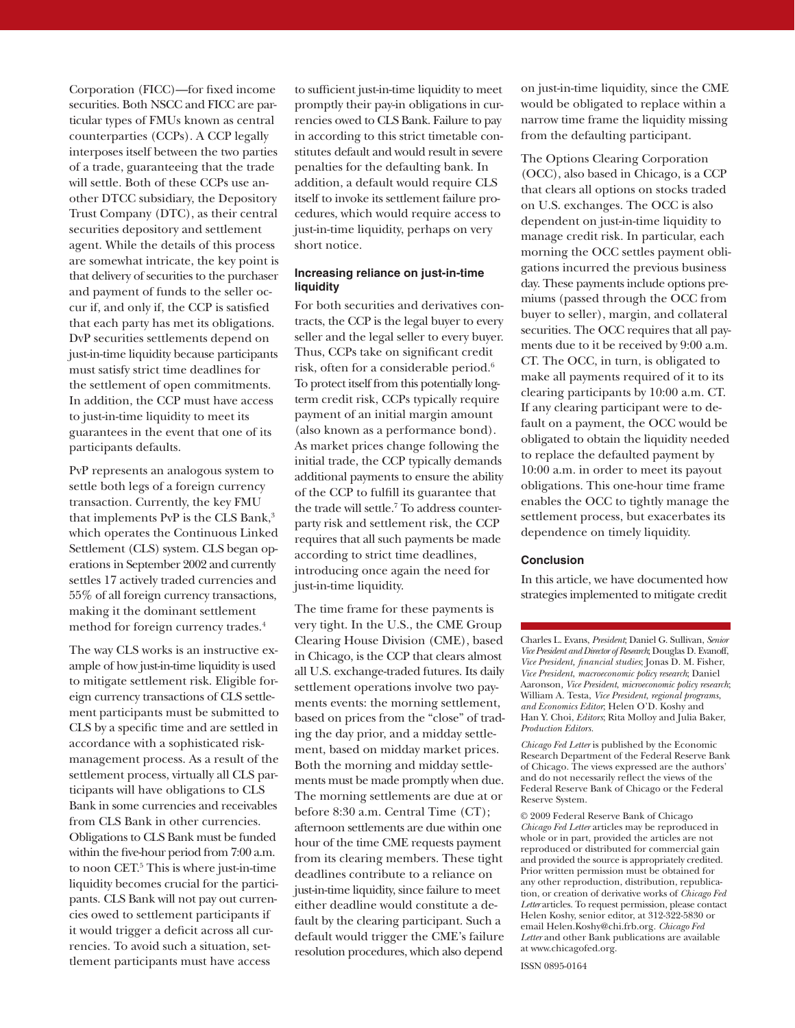Corporation (FICC)—for fixed income securities. Both NSCC and FICC are particular types of FMUs known as central counterparties (CCPs). A CCP legally interposes itself between the two parties of a trade, guaranteeing that the trade will settle. Both of these CCPs use another DTCC subsidiary, the Depository Trust Company (DTC), as their central securities depository and settlement agent. While the details of this process are somewhat intricate, the key point is that delivery of securities to the purchaser and payment of funds to the seller occur if, and only if, the CCP is satisfied that each party has met its obligations. DvP securities settlements depend on just-in-time liquidity because participants must satisfy strict time deadlines for the settlement of open commitments. In addition, the CCP must have access to just-in-time liquidity to meet its guarantees in the event that one of its participants defaults.

PvP represents an analogous system to settle both legs of a foreign currency transaction. Currently, the key FMU that implements PvP is the CLS Bank,<sup>3</sup> which operates the Continuous Linked Settlement (CLS) system. CLS began operations in September 2002 and currently settles 17 actively traded currencies and 55% of all foreign currency transactions, making it the dominant settlement method for foreign currency trades.4

The way CLS works is an instructive example of how just-in-time liquidity is used to mitigate settlement risk. Eligible foreign currency transactions of CLS settlement participants must be submitted to CLS by a specific time and are settled in accordance with a sophisticated riskmanagement process. As a result of the settlement process, virtually all CLS participants will have obligations to CLS Bank in some currencies and receivables from CLS Bank in other currencies. Obligations to CLS Bank must be funded within the five-hour period from 7:00 a.m. to noon CET.<sup>5</sup> This is where just-in-time liquidity becomes crucial for the participants. CLS Bank will not pay out currencies owed to settlement participants if it would trigger a deficit across all currencies. To avoid such a situation, settlement participants must have access

to sufficient just-in-time liquidity to meet promptly their pay-in obligations in currencies owed to CLS Bank. Failure to pay in according to this strict timetable constitutes default and would result in severe penalties for the defaulting bank. In addition, a default would require CLS itself to invoke its settlement failure procedures, which would require access to just-in-time liquidity, perhaps on very short notice.

# **Increasing reliance on just-in-time liquidity**

For both securities and derivatives contracts, the CCP is the legal buyer to every seller and the legal seller to every buyer. Thus, CCPs take on significant credit risk, often for a considerable period.6 To protect itself from this potentially longterm credit risk, CCPs typically require payment of an initial margin amount (also known as a performance bond). As market prices change following the initial trade, the CCP typically demands additional payments to ensure the ability of the CCP to fulfill its guarantee that the trade will settle.7 To address counterparty risk and settlement risk, the CCP requires that all such payments be made according to strict time deadlines, introducing once again the need for just-in-time liquidity.

The time frame for these payments is very tight. In the U.S., the CME Group Clearing House Division (CME), based in Chicago, is the CCP that clears almost all U.S. exchange-traded futures. Its daily settlement operations involve two payments events: the morning settlement, based on prices from the "close" of trading the day prior, and a midday settlement, based on midday market prices. Both the morning and midday settlements must be made promptly when due. The morning settlements are due at or before 8:30 a.m. Central Time (CT); afternoon settlements are due within one hour of the time CME requests payment from its clearing members. These tight deadlines contribute to a reliance on just-in-time liquidity, since failure to meet either deadline would constitute a default by the clearing participant. Such a default would trigger the CME's failure resolution procedures, which also depend

on just-in-time liquidity, since the CME would be obligated to replace within a narrow time frame the liquidity missing from the defaulting participant.

The Options Clearing Corporation (OCC), also based in Chicago, is a CCP that clears all options on stocks traded on U.S. exchanges. The OCC is also dependent on just-in-time liquidity to manage credit risk. In particular, each morning the OCC settles payment obligations incurred the previous business day. These payments include options premiums (passed through the OCC from buyer to seller), margin, and collateral securities. The OCC requires that all payments due to it be received by 9:00 a.m. CT. The OCC, in turn, is obligated to make all payments required of it to its clearing participants by 10:00 a.m. CT. If any clearing participant were to default on a payment, the OCC would be obligated to obtain the liquidity needed to replace the defaulted payment by 10:00 a.m. in order to meet its payout obligations. This one-hour time frame enables the OCC to tightly manage the settlement process, but exacerbates its dependence on timely liquidity.

# **Conclusion**

In this article, we have documented how strategies implemented to mitigate credit

Charles L. Evans, *President*; Daniel G. Sullivan, *Senior Vice President and Director of Research*; Douglas D. Evanoff, *Vice President, fi nancial studies*; Jonas D. M. Fisher, *Vice President*, *macroeconomic policy research*; Daniel Aaronson*, Vice President*, *microeconomic policy research*; William A. Testa, *Vice President*, *regional programs*, *and Economics Editor*; Helen O'D. Koshy and Han Y. Choi, *Editors*; Rita Molloy and Julia Baker, *Production Editors.*

*Chicago Fed Letter* is published by the Economic Research Department of the Federal Reserve Bank of Chicago. The views expressed are the authors' and do not necessarily reflect the views of the Federal Reserve Bank of Chicago or the Federal Reserve System.

© 2009 Federal Reserve Bank of Chicago *Chicago Fed Letter* articles may be reproduced in whole or in part, provided the articles are not reproduced or distributed for commercial gain and provided the source is appropriately credited. Prior written permission must be obtained for any other reproduction, distribution, republication, or creation of derivative works of *Chicago Fed Letter* articles. To request permission, please contact Helen Koshy, senior editor, at 312-322-5830 or email Helen.Koshy@chi.frb.org. *Chicago Fed Letter* and other Bank publications are available at www.chicagofed.org.

ISSN 0895-0164